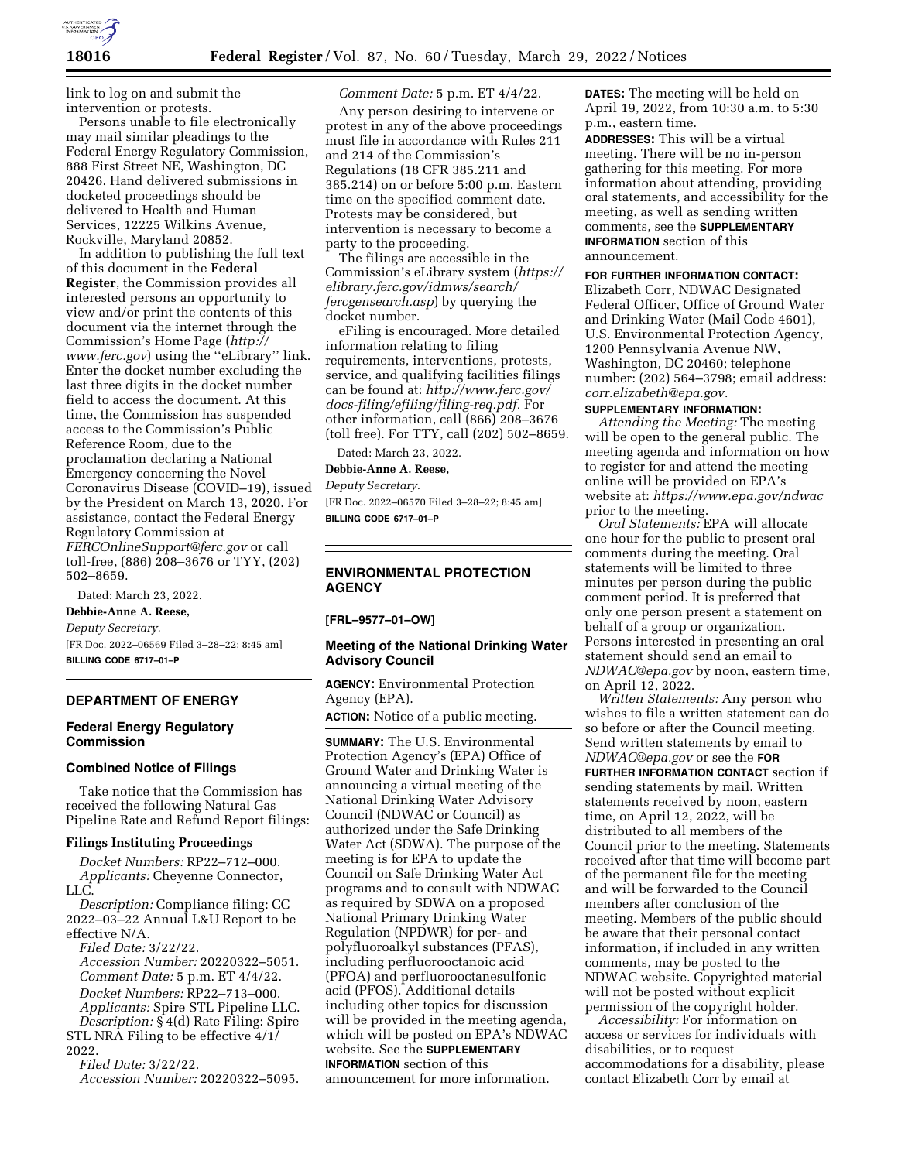

link to log on and submit the intervention or protests.

Persons unable to file electronically may mail similar pleadings to the Federal Energy Regulatory Commission, 888 First Street NE, Washington, DC 20426. Hand delivered submissions in docketed proceedings should be delivered to Health and Human Services, 12225 Wilkins Avenue, Rockville, Maryland 20852.

In addition to publishing the full text of this document in the **Federal Register**, the Commission provides all interested persons an opportunity to view and/or print the contents of this document via the internet through the Commission's Home Page (*[http://](http://www.ferc.gov) [www.ferc.gov](http://www.ferc.gov)*) using the ''eLibrary'' link. Enter the docket number excluding the last three digits in the docket number field to access the document. At this time, the Commission has suspended access to the Commission's Public Reference Room, due to the proclamation declaring a National Emergency concerning the Novel Coronavirus Disease (COVID–19), issued by the President on March 13, 2020. For assistance, contact the Federal Energy Regulatory Commission at *[FERCOnlineSupport@ferc.gov](mailto:FERCOnlineSupport@ferc.gov)* or call toll-free, (886) 208–3676 or TYY, (202) 502–8659.

Dated: March 23, 2022.

**Debbie-Anne A. Reese,** 

*Deputy Secretary.* 

[FR Doc. 2022–06569 Filed 3–28–22; 8:45 am] **BILLING CODE 6717–01–P** 

## **DEPARTMENT OF ENERGY**

## **Federal Energy Regulatory Commission**

# **Combined Notice of Filings**

Take notice that the Commission has received the following Natural Gas Pipeline Rate and Refund Report filings:

#### **Filings Instituting Proceedings**

*Docket Numbers:* RP22–712–000. *Applicants:* Cheyenne Connector, LLC.

*Description:* Compliance filing: CC 2022–03–22 Annual L&U Report to be effective N/A.

*Filed Date:* 3/22/22. *Accession Number:* 20220322–5051. *Comment Date:* 5 p.m. ET 4/4/22. *Docket Numbers:* RP22–713–000. *Applicants:* Spire STL Pipeline LLC.

*Description:* § 4(d) Rate Filing: Spire STL NRA Filing to be effective 4/1/ 2022.

*Filed Date:* 3/22/22.

*Accession Number:* 20220322–5095.

## *Comment Date:* 5 p.m. ET 4/4/22.

Any person desiring to intervene or protest in any of the above proceedings must file in accordance with Rules 211 and 214 of the Commission's Regulations (18 CFR 385.211 and 385.214) on or before 5:00 p.m. Eastern time on the specified comment date. Protests may be considered, but intervention is necessary to become a party to the proceeding.

The filings are accessible in the Commission's eLibrary system (*[https://](https://elibrary.ferc.gov/idmws/search/fercgensearch.asp) [elibrary.ferc.gov/idmws/search/](https://elibrary.ferc.gov/idmws/search/fercgensearch.asp) [fercgensearch.asp](https://elibrary.ferc.gov/idmws/search/fercgensearch.asp)*) by querying the docket number.

eFiling is encouraged. More detailed information relating to filing requirements, interventions, protests, service, and qualifying facilities filings can be found at: *[http://www.ferc.gov/](http://www.ferc.gov/docs-filing/efiling/filing-req.pdf)  [docs-filing/efiling/filing-req.pdf.](http://www.ferc.gov/docs-filing/efiling/filing-req.pdf)* For other information, call (866) 208–3676 (toll free). For TTY, call (202) 502–8659.

Dated: March 23, 2022.

**Debbie-Anne A. Reese,** 

*Deputy Secretary.* 

[FR Doc. 2022–06570 Filed 3–28–22; 8:45 am] **BILLING CODE 6717–01–P** 

# **ENVIRONMENTAL PROTECTION AGENCY**

### **[FRL–9577–01–OW]**

## **Meeting of the National Drinking Water Advisory Council**

**AGENCY:** Environmental Protection Agency (EPA).

**ACTION:** Notice of a public meeting.

**SUMMARY:** The U.S. Environmental Protection Agency's (EPA) Office of Ground Water and Drinking Water is announcing a virtual meeting of the National Drinking Water Advisory Council (NDWAC or Council) as authorized under the Safe Drinking Water Act (SDWA). The purpose of the meeting is for EPA to update the Council on Safe Drinking Water Act programs and to consult with NDWAC as required by SDWA on a proposed National Primary Drinking Water Regulation (NPDWR) for per- and polyfluoroalkyl substances (PFAS), including perfluorooctanoic acid (PFOA) and perfluorooctanesulfonic acid (PFOS). Additional details including other topics for discussion will be provided in the meeting agenda, which will be posted on EPA's NDWAC website. See the **SUPPLEMENTARY INFORMATION** section of this announcement for more information.

**DATES:** The meeting will be held on April 19, 2022, from 10:30 a.m. to 5:30 p.m., eastern time.

**ADDRESSES:** This will be a virtual meeting. There will be no in-person gathering for this meeting. For more information about attending, providing oral statements, and accessibility for the meeting, as well as sending written comments, see the **SUPPLEMENTARY INFORMATION** section of this announcement.

## **FOR FURTHER INFORMATION CONTACT:**

Elizabeth Corr, NDWAC Designated Federal Officer, Office of Ground Water and Drinking Water (Mail Code 4601), U.S. Environmental Protection Agency, 1200 Pennsylvania Avenue NW, Washington, DC 20460; telephone number: (202) 564–3798; email address: *[corr.elizabeth@epa.gov.](mailto:corr.elizabeth@epa.gov)* 

# **SUPPLEMENTARY INFORMATION:**

*Attending the Meeting:* The meeting will be open to the general public. The meeting agenda and information on how to register for and attend the meeting online will be provided on EPA's website at: *<https://www.epa.gov/ndwac>*  prior to the meeting.

*Oral Statements:* EPA will allocate one hour for the public to present oral comments during the meeting. Oral statements will be limited to three minutes per person during the public comment period. It is preferred that only one person present a statement on behalf of a group or organization. Persons interested in presenting an oral statement should send an email to *[NDWAC@epa.gov](mailto:NDWAC@epa.gov)* by noon, eastern time, on April 12, 2022.

*Written Statements:* Any person who wishes to file a written statement can do so before or after the Council meeting. Send written statements by email to *[NDWAC@epa.gov](mailto:NDWAC@epa.gov)* or see the **FOR FURTHER INFORMATION CONTACT** section if sending statements by mail. Written statements received by noon, eastern time, on April 12, 2022, will be distributed to all members of the Council prior to the meeting. Statements received after that time will become part of the permanent file for the meeting and will be forwarded to the Council members after conclusion of the meeting. Members of the public should be aware that their personal contact information, if included in any written comments, may be posted to the NDWAC website. Copyrighted material will not be posted without explicit permission of the copyright holder.

*Accessibility:* For information on access or services for individuals with disabilities, or to request accommodations for a disability, please contact Elizabeth Corr by email at